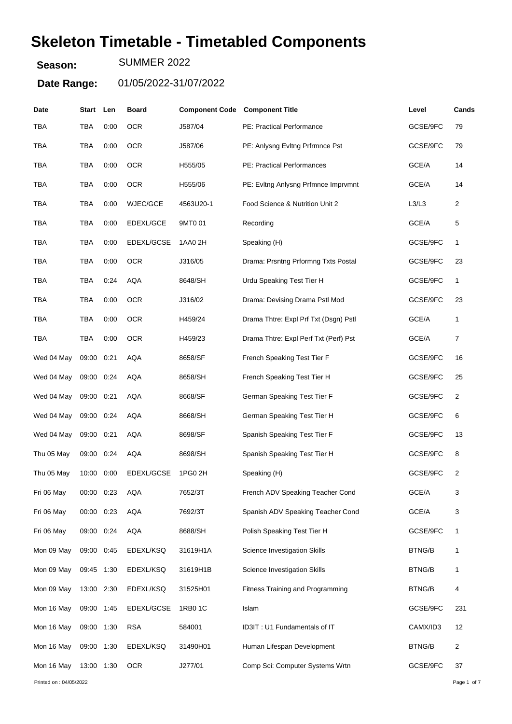# **Skeleton Timetable - Timetabled Components**

**Season:** SUMMER 2022

**Date Range:** 01/05/2022-31/07/2022

| Date                    | Start Len  |      | <b>Board</b>    | <b>Component Code Component Title</b> |                                         | Level         | Cands       |
|-------------------------|------------|------|-----------------|---------------------------------------|-----------------------------------------|---------------|-------------|
| TBA                     | TBA        | 0:00 | <b>OCR</b>      | J587/04                               | PE: Practical Performance               | GCSE/9FC      | 79          |
| TBA                     | TBA        | 0:00 | <b>OCR</b>      | J587/06                               | PE: Anlysng Evltng Prfrmnce Pst         | GCSE/9FC      | 79          |
| TBA                     | TBA        | 0:00 | <b>OCR</b>      | H555/05                               | <b>PE: Practical Performances</b>       | GCE/A         | 14          |
| TBA                     | TBA        | 0:00 | <b>OCR</b>      | H555/06                               | PE: Evitng Anlysng Prfmnce Imprvmnt     | GCE/A         | 14          |
| TBA                     | TBA        | 0:00 | <b>WJEC/GCE</b> | 4563U20-1                             | Food Science & Nutrition Unit 2         | L3/L3         | 2           |
| <b>TBA</b>              | <b>TBA</b> | 0:00 | EDEXL/GCE       | 9MT0 01                               | Recording                               | GCE/A         | 5           |
| <b>TBA</b>              | TBA        | 0:00 | EDEXL/GCSE      | 1AA0 2H                               | Speaking (H)                            | GCSE/9FC      | 1           |
| TBA                     | TBA        | 0:00 | <b>OCR</b>      | J316/05                               | Drama: Prsntng Prformng Txts Postal     | GCSE/9FC      | 23          |
| <b>TBA</b>              | <b>TBA</b> | 0:24 | <b>AQA</b>      | 8648/SH                               | Urdu Speaking Test Tier H               | GCSE/9FC      | 1           |
| TBA                     | TBA        | 0:00 | <b>OCR</b>      | J316/02                               | Drama: Devising Drama Pstl Mod          | GCSE/9FC      | 23          |
| <b>TBA</b>              | TBA        | 0:00 | <b>OCR</b>      | H459/24                               | Drama Thtre: Expl Prf Txt (Dsgn) Pstl   | GCE/A         | 1           |
| TBA                     | TBA        | 0:00 | <b>OCR</b>      | H459/23                               | Drama Thtre: Expl Perf Txt (Perf) Pst   | GCE/A         | 7           |
| Wed 04 May              | 09:00      | 0:21 | <b>AQA</b>      | 8658/SF                               | French Speaking Test Tier F             | GCSE/9FC      | 16          |
| Wed 04 May              | 09:00 0:24 |      | <b>AQA</b>      | 8658/SH                               | French Speaking Test Tier H             | GCSE/9FC      | 25          |
| Wed 04 May              | 09:00 0:21 |      | <b>AQA</b>      | 8668/SF                               | German Speaking Test Tier F             | GCSE/9FC      | 2           |
| Wed 04 May              | 09:00 0:24 |      | <b>AQA</b>      | 8668/SH                               | German Speaking Test Tier H             | GCSE/9FC      | 6           |
| Wed 04 May              | 09:00 0:21 |      | <b>AQA</b>      | 8698/SF                               | Spanish Speaking Test Tier F            | GCSE/9FC      | 13          |
| Thu 05 May              | 09:00      | 0:24 | <b>AQA</b>      | 8698/SH                               | Spanish Speaking Test Tier H            | GCSE/9FC      | 8           |
| Thu 05 May              | 10:00      | 0:00 | EDEXL/GCSE      | 1PG0 2H                               | Speaking (H)                            | GCSE/9FC      | 2           |
| Fri 06 May              | 00:00 0:23 |      | AQA             | 7652/3T                               | French ADV Speaking Teacher Cond        | GCE/A         | 3           |
| Fri 06 May              | 00:00 0:23 |      | <b>AQA</b>      | 7692/3T                               | Spanish ADV Speaking Teacher Cond       | GCE/A         | 3           |
| Fri 06 May              | 09:00 0:24 |      | <b>AQA</b>      | 8688/SH                               | Polish Speaking Test Tier H             | GCSE/9FC      | 1           |
| Mon 09 May              | 09:00      | 0:45 | EDEXL/KSQ       | 31619H1A                              | <b>Science Investigation Skills</b>     | <b>BTNG/B</b> | 1           |
| Mon 09 May              | 09:45 1:30 |      | EDEXL/KSQ       | 31619H1B                              | Science Investigation Skills            | <b>BTNG/B</b> | 1           |
| Mon 09 May              | 13:00 2:30 |      | EDEXL/KSQ       | 31525H01                              | <b>Fitness Training and Programming</b> | <b>BTNG/B</b> | 4           |
| Mon 16 May              | 09:00 1:45 |      | EDEXL/GCSE      | 1RB0 1C                               | Islam                                   | GCSE/9FC      | 231         |
| Mon 16 May              | 09:00 1:30 |      | <b>RSA</b>      | 584001                                | ID3IT: U1 Fundamentals of IT            | CAMX/ID3      | 12          |
| Mon 16 May              | 09:00 1:30 |      | EDEXL/KSQ       | 31490H01                              | Human Lifespan Development              | <b>BTNG/B</b> | 2           |
| Mon 16 May              | 13:00 1:30 |      | <b>OCR</b>      | J277/01                               | Comp Sci: Computer Systems Wrtn         | GCSE/9FC      | 37          |
| Printed on : 04/05/2022 |            |      |                 |                                       |                                         |               | Page 1 of 7 |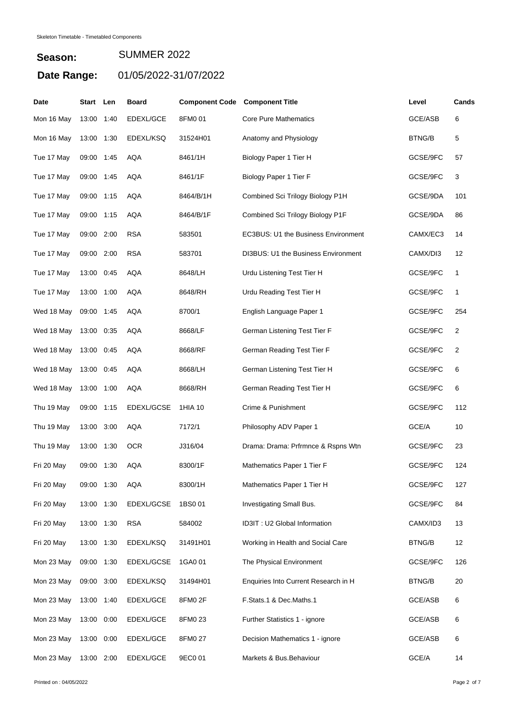| Date       | Start      | Len  | <b>Board</b>     | <b>Component Code Component Title</b> |                                            | Level          | Cands |
|------------|------------|------|------------------|---------------------------------------|--------------------------------------------|----------------|-------|
| Mon 16 May | 13:00      | 1:40 | <b>EDEXL/GCE</b> | 8FM0 01                               | <b>Core Pure Mathematics</b>               | <b>GCE/ASB</b> | 6     |
| Mon 16 May | 13:00      | 1:30 | EDEXL/KSQ        | 31524H01                              | Anatomy and Physiology                     | <b>BTNG/B</b>  | 5     |
| Tue 17 May | 09:00      | 1:45 | <b>AQA</b>       | 8461/1H                               | Biology Paper 1 Tier H                     | GCSE/9FC       | 57    |
| Tue 17 May | 09:00      | 1:45 | <b>AQA</b>       | 8461/1F                               | Biology Paper 1 Tier F                     | GCSE/9FC       | 3     |
| Tue 17 May | 09:00 1:15 |      | <b>AQA</b>       | 8464/B/1H                             | Combined Sci Trilogy Biology P1H           | GCSE/9DA       | 101   |
| Tue 17 May | 09:00      | 1:15 | <b>AQA</b>       | 8464/B/1F                             | Combined Sci Trilogy Biology P1F           | GCSE/9DA       | 86    |
| Tue 17 May | 09:00      | 2:00 | <b>RSA</b>       | 583501                                | <b>EC3BUS: U1 the Business Environment</b> | CAMX/EC3       | 14    |
| Tue 17 May | 09:00      | 2:00 | <b>RSA</b>       | 583701                                | DI3BUS: U1 the Business Environment        | CAMX/DI3       | 12    |
| Tue 17 May | 13:00      | 0:45 | <b>AQA</b>       | 8648/LH                               | Urdu Listening Test Tier H                 | GCSE/9FC       | 1     |
| Tue 17 May | 13:00      | 1:00 | <b>AQA</b>       | 8648/RH                               | Urdu Reading Test Tier H                   | GCSE/9FC       | 1     |
| Wed 18 May | 09:00      | 1:45 | <b>AQA</b>       | 8700/1                                | English Language Paper 1                   | GCSE/9FC       | 254   |
| Wed 18 May | 13:00      | 0:35 | <b>AQA</b>       | 8668/LF                               | German Listening Test Tier F               | GCSE/9FC       | 2     |
| Wed 18 May | 13:00      | 0:45 | AQA              | 8668/RF                               | German Reading Test Tier F                 | GCSE/9FC       | 2     |
| Wed 18 May | 13:00      | 0:45 | <b>AQA</b>       | 8668/LH                               | German Listening Test Tier H               | GCSE/9FC       | 6     |
| Wed 18 May | 13:00      | 1:00 | <b>AQA</b>       | 8668/RH                               | German Reading Test Tier H                 | GCSE/9FC       | 6     |
| Thu 19 May | 09:00      | 1:15 | EDEXL/GCSE       | 1HIA 10                               | Crime & Punishment                         | GCSE/9FC       | 112   |
| Thu 19 May | 13:00      | 3:00 | <b>AQA</b>       | 7172/1                                | Philosophy ADV Paper 1                     | GCE/A          | 10    |
| Thu 19 May | 13:00      | 1:30 | <b>OCR</b>       | J316/04                               | Drama: Drama: Prfrmnce & Rspns Wtn         | GCSE/9FC       | 23    |
| Fri 20 May | 09:00      | 1:30 | <b>AQA</b>       | 8300/1F                               | Mathematics Paper 1 Tier F                 | GCSE/9FC       | 124   |
| Fri 20 May | 09:00 1:30 |      | AQA              | 8300/1H                               | Mathematics Paper 1 Tier H                 | GCSE/9FC       | 127   |
| Fri 20 May | 13:00 1:30 |      | EDEXL/GCSE       | 1BS001                                | Investigating Small Bus.                   | GCSE/9FC       | 84    |
| Fri 20 May | 13:00 1:30 |      | <b>RSA</b>       | 584002                                | ID3IT: U2 Global Information               | CAMX/ID3       | 13    |
| Fri 20 May | 13:00 1:30 |      | EDEXL/KSQ        | 31491H01                              | Working in Health and Social Care          | <b>BTNG/B</b>  | 12    |
| Mon 23 May | 09:00 1:30 |      | EDEXL/GCSE       | 1GA0 01                               | The Physical Environment                   | GCSE/9FC       | 126   |
| Mon 23 May | 09:00      | 3:00 | EDEXL/KSQ        | 31494H01                              | Enquiries Into Current Research in H       | <b>BTNG/B</b>  | 20    |
| Mon 23 May | 13:00 1:40 |      | EDEXL/GCE        | 8FM0 2F                               | F.Stats.1 & Dec.Maths.1                    | GCE/ASB        | 6     |
| Mon 23 May | 13:00      | 0:00 | EDEXL/GCE        | 8FM0 23                               | Further Statistics 1 - ignore              | GCE/ASB        | 6     |
| Mon 23 May | 13:00      | 0:00 | EDEXL/GCE        | 8FM0 27                               | Decision Mathematics 1 - ignore            | GCE/ASB        | 6     |
| Mon 23 May | 13:00 2:00 |      | EDEXL/GCE        | 9EC0 01                               | Markets & Bus.Behaviour                    | GCE/A          | 14    |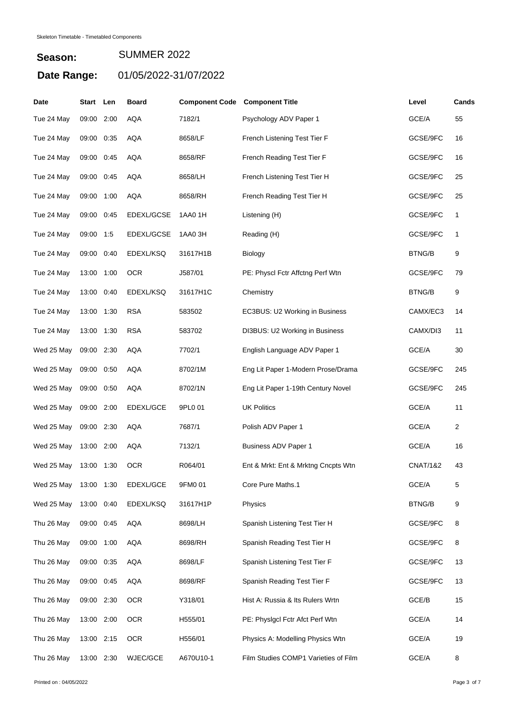| Date                  | Start      | Len  | <b>Board</b>     | <b>Component Code Component Title</b> |                                      | Level               | Cands          |
|-----------------------|------------|------|------------------|---------------------------------------|--------------------------------------|---------------------|----------------|
| Tue 24 May            | 09:00      | 2:00 | <b>AQA</b>       | 7182/1                                | Psychology ADV Paper 1               | GCE/A               | 55             |
| Tue 24 May            | 09:00 0:35 |      | <b>AQA</b>       | 8658/LF                               | French Listening Test Tier F         | GCSE/9FC            | 16             |
| Tue 24 May            | 09:00      | 0:45 | <b>AQA</b>       | 8658/RF                               | French Reading Test Tier F           | GCSE/9FC            | 16             |
| Tue 24 May            | 09:00      | 0:45 | <b>AQA</b>       | 8658/LH                               | French Listening Test Tier H         | GCSE/9FC            | 25             |
| Tue 24 May            | 09:00 1:00 |      | <b>AQA</b>       | 8658/RH                               | French Reading Test Tier H           | GCSE/9FC            | 25             |
| Tue 24 May            | 09:00      | 0:45 | EDEXL/GCSE       | 1AA0 1H                               | Listening (H)                        | GCSE/9FC            | 1              |
| Tue 24 May            | 09:00      | 1:5  | EDEXL/GCSE       | 1AA03H                                | Reading (H)                          | GCSE/9FC            | 1              |
| Tue 24 May            | 09:00      | 0:40 | EDEXL/KSQ        | 31617H1B                              | Biology                              | <b>BTNG/B</b>       | 9              |
| Tue 24 May            | 13:00      | 1:00 | <b>OCR</b>       | J587/01                               | PE: Physcl Fctr Affctng Perf Wtn     | GCSE/9FC            | 79             |
| Tue 24 May            | 13:00      | 0:40 | EDEXL/KSQ        | 31617H1C                              | Chemistry                            | <b>BTNG/B</b>       | 9              |
| Tue 24 May            | 13:00      | 1:30 | <b>RSA</b>       | 583502                                | EC3BUS: U2 Working in Business       | CAMX/EC3            | 14             |
| Tue 24 May            | 13:00      | 1:30 | <b>RSA</b>       | 583702                                | DI3BUS: U2 Working in Business       | CAMX/DI3            | 11             |
| Wed 25 May            | 09:00 2:30 |      | <b>AQA</b>       | 7702/1                                | English Language ADV Paper 1         | GCE/A               | 30             |
| Wed 25 May            | 09:00      | 0:50 | <b>AQA</b>       | 8702/1M                               | Eng Lit Paper 1-Modern Prose/Drama   | GCSE/9FC            | 245            |
| Wed 25 May            | 09:00      | 0:50 | <b>AQA</b>       | 8702/1N                               | Eng Lit Paper 1-19th Century Novel   | GCSE/9FC            | 245            |
| Wed 25 May            | 09:00      | 2:00 | <b>EDEXL/GCE</b> | 9PL0 01                               | <b>UK Politics</b>                   | GCE/A               | 11             |
| Wed 25 May            | 09:00 2:30 |      | <b>AQA</b>       | 7687/1                                | Polish ADV Paper 1                   | GCE/A               | $\overline{2}$ |
| Wed 25 May            | 13:00      | 2:00 | <b>AQA</b>       | 7132/1                                | <b>Business ADV Paper 1</b>          | GCE/A               | 16             |
| Wed 25 May            | 13:00      | 1:30 | <b>OCR</b>       | R064/01                               | Ent & Mrkt: Ent & Mrktng Cncpts Wtn  | <b>CNAT/1&amp;2</b> | 43             |
| Wed 25 May 13:00 1:30 |            |      | EDEXL/GCE        | 9FM0 01                               | Core Pure Maths.1                    | GCE/A               | 5              |
| Wed 25 May            | 13:00      | 0:40 | EDEXL/KSQ        | 31617H1P                              | Physics                              | <b>BTNG/B</b>       | 9              |
| Thu 26 May            | 09:00      | 0:45 | <b>AQA</b>       | 8698/LH                               | Spanish Listening Test Tier H        | GCSE/9FC            | 8              |
| Thu 26 May            | 09:00      | 1:00 | <b>AQA</b>       | 8698/RH                               | Spanish Reading Test Tier H          | GCSE/9FC            | 8              |
| Thu 26 May            | 09:00 0:35 |      | <b>AQA</b>       | 8698/LF                               | Spanish Listening Test Tier F        | GCSE/9FC            | 13             |
| Thu 26 May            | 09:00      | 0:45 | <b>AQA</b>       | 8698/RF                               | Spanish Reading Test Tier F          | GCSE/9FC            | 13             |
| Thu 26 May            | 09:00      | 2:30 | <b>OCR</b>       | Y318/01                               | Hist A: Russia & Its Rulers Wrtn     | GCE/B               | 15             |
| Thu 26 May            | 13:00 2:00 |      | <b>OCR</b>       | H555/01                               | PE: Physigcl Fctr Afct Perf Wtn      | GCE/A               | 14             |
| Thu 26 May            | 13:00 2:15 |      | <b>OCR</b>       | H556/01                               | Physics A: Modelling Physics Wtn     | GCE/A               | 19             |
| Thu 26 May            | 13:00 2:30 |      | WJEC/GCE         | A670U10-1                             | Film Studies COMP1 Varieties of Film | GCE/A               | 8              |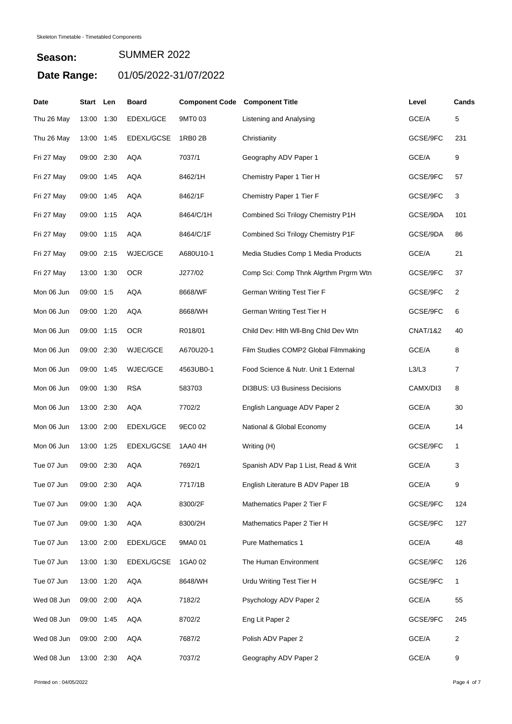| Date       | Start Len  |      | <b>Board</b> | <b>Component Code Component Title</b> |                                       | Level               | Cands          |
|------------|------------|------|--------------|---------------------------------------|---------------------------------------|---------------------|----------------|
| Thu 26 May | 13:00      | 1:30 | EDEXL/GCE    | 9MT0 03                               | Listening and Analysing               | GCE/A               | 5              |
| Thu 26 May | 13:00      | 1:45 | EDEXL/GCSE   | 1RB0 2B                               | Christianity                          | GCSE/9FC            | 231            |
| Fri 27 May | 09:00 2:30 |      | <b>AQA</b>   | 7037/1                                | Geography ADV Paper 1                 | GCE/A               | 9              |
| Fri 27 May | 09:00      | 1:45 | <b>AQA</b>   | 8462/1H                               | Chemistry Paper 1 Tier H              | GCSE/9FC            | 57             |
| Fri 27 May | 09:00      | 1:45 | AQA          | 8462/1F                               | Chemistry Paper 1 Tier F              | GCSE/9FC            | 3              |
| Fri 27 May | 09:00 1:15 |      | <b>AQA</b>   | 8464/C/1H                             | Combined Sci Trilogy Chemistry P1H    | GCSE/9DA            | 101            |
| Fri 27 May | 09:00 1:15 |      | <b>AQA</b>   | 8464/C/1F                             | Combined Sci Trilogy Chemistry P1F    | GCSE/9DA            | 86             |
| Fri 27 May | 09:00      | 2:15 | WJEC/GCE     | A680U10-1                             | Media Studies Comp 1 Media Products   | GCE/A               | 21             |
| Fri 27 May | 13:00 1:30 |      | <b>OCR</b>   | J277/02                               | Comp Sci: Comp Thnk Algrthm Prgrm Wtn | GCSE/9FC            | 37             |
| Mon 06 Jun | 09:00 1:5  |      | <b>AQA</b>   | 8668/WF                               | German Writing Test Tier F            | GCSE/9FC            | $\overline{2}$ |
| Mon 06 Jun | 09:00      | 1:20 | <b>AQA</b>   | 8668/WH                               | German Writing Test Tier H            | GCSE/9FC            | 6              |
| Mon 06 Jun | 09:00      | 1:15 | <b>OCR</b>   | R018/01                               | Child Dev: Hith Wil-Bng Chid Dev Wtn  | <b>CNAT/1&amp;2</b> | 40             |
| Mon 06 Jun | 09:00 2:30 |      | WJEC/GCE     | A670U20-1                             | Film Studies COMP2 Global Filmmaking  | GCE/A               | 8              |
| Mon 06 Jun | 09:00 1:45 |      | WJEC/GCE     | 4563UB0-1                             | Food Science & Nutr. Unit 1 External  | L3/L3               | 7              |
| Mon 06 Jun | 09:00 1:30 |      | <b>RSA</b>   | 583703                                | <b>DI3BUS: U3 Business Decisions</b>  | CAMX/DI3            | 8              |
| Mon 06 Jun | 13:00 2:30 |      | AQA          | 7702/2                                | English Language ADV Paper 2          | GCE/A               | 30             |
| Mon 06 Jun | 13:00      | 2:00 | EDEXL/GCE    | 9EC0 02                               | National & Global Economy             | GCE/A               | 14             |
| Mon 06 Jun | 13:00      | 1:25 | EDEXL/GCSE   | 1AA0 4H                               | Writing (H)                           | GCSE/9FC            | $\mathbf{1}$   |
| Tue 07 Jun | 09:00      | 2:30 | AQA          | 7692/1                                | Spanish ADV Pap 1 List, Read & Writ   | GCE/A               | 3              |
| Tue 07 Jun | 09:00 2:30 |      | <b>AQA</b>   | 7717/1B                               | English Literature B ADV Paper 1B     | GCE/A               | 9              |
| Tue 07 Jun | 09:00 1:30 |      | <b>AQA</b>   | 8300/2F                               | Mathematics Paper 2 Tier F            | GCSE/9FC            | 124            |
| Tue 07 Jun | 09:00 1:30 |      | <b>AQA</b>   | 8300/2H                               | Mathematics Paper 2 Tier H            | GCSE/9FC            | 127            |
| Tue 07 Jun | 13:00      | 2:00 | EDEXL/GCE    | 9MA0 01                               | <b>Pure Mathematics 1</b>             | GCE/A               | 48             |
| Tue 07 Jun | 13:00 1:30 |      | EDEXL/GCSE   | 1GA0 02                               | The Human Environment                 | GCSE/9FC            | 126            |
| Tue 07 Jun | 13:00 1:20 |      | <b>AQA</b>   | 8648/WH                               | Urdu Writing Test Tier H              | GCSE/9FC            | 1              |
| Wed 08 Jun | 09:00 2:00 |      | <b>AQA</b>   | 7182/2                                | Psychology ADV Paper 2                | GCE/A               | 55             |
| Wed 08 Jun | 09:00 1:45 |      | <b>AQA</b>   | 8702/2                                | Eng Lit Paper 2                       | GCSE/9FC            | 245            |
| Wed 08 Jun | 09:00 2:00 |      | <b>AQA</b>   | 7687/2                                | Polish ADV Paper 2                    | GCE/A               | 2              |
| Wed 08 Jun | 13:00 2:30 |      | AQA          | 7037/2                                | Geography ADV Paper 2                 | GCE/A               | 9              |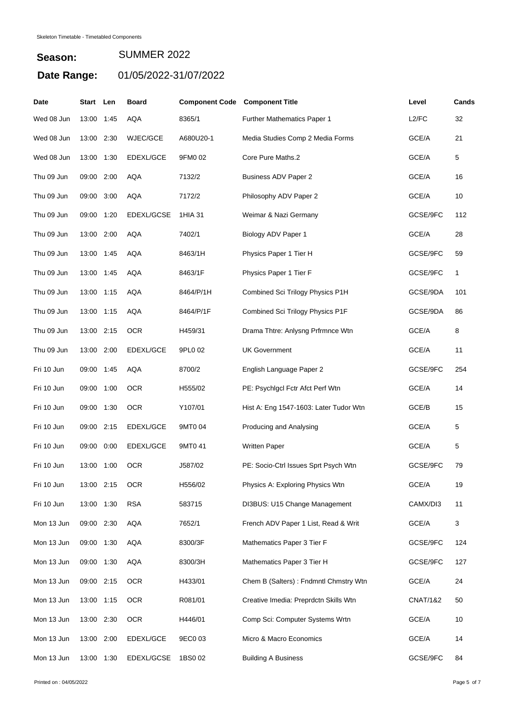| Date       | Start Len  |      | <b>Board</b>    | <b>Component Code Component Title</b> |                                        | Level               | Cands        |
|------------|------------|------|-----------------|---------------------------------------|----------------------------------------|---------------------|--------------|
| Wed 08 Jun | 13:00      | 1:45 | <b>AQA</b>      | 8365/1                                | Further Mathematics Paper 1            | L2/FC               | 32           |
| Wed 08 Jun | 13:00 2:30 |      | <b>WJEC/GCE</b> | A680U20-1                             | Media Studies Comp 2 Media Forms       | GCE/A               | 21           |
| Wed 08 Jun | 13:00      | 1:30 | EDEXL/GCE       | 9FM0 02                               | Core Pure Maths.2                      | GCE/A               | 5            |
| Thu 09 Jun | 09:00      | 2:00 | <b>AQA</b>      | 7132/2                                | <b>Business ADV Paper 2</b>            | GCE/A               | 16           |
| Thu 09 Jun | 09:00      | 3:00 | <b>AQA</b>      | 7172/2                                | Philosophy ADV Paper 2                 | GCE/A               | 10           |
| Thu 09 Jun | 09:00      | 1:20 | EDEXL/GCSE      | 1HIA 31                               | Weimar & Nazi Germany                  | GCSE/9FC            | 112          |
| Thu 09 Jun | 13:00 2:00 |      | <b>AQA</b>      | 7402/1                                | Biology ADV Paper 1                    | GCE/A               | 28           |
| Thu 09 Jun | 13:00      | 1:45 | <b>AQA</b>      | 8463/1H                               | Physics Paper 1 Tier H                 | GCSE/9FC            | 59           |
| Thu 09 Jun | 13:00 1:45 |      | <b>AQA</b>      | 8463/1F                               | Physics Paper 1 Tier F                 | GCSE/9FC            | $\mathbf{1}$ |
| Thu 09 Jun | 13:00      | 1:15 | <b>AQA</b>      | 8464/P/1H                             | Combined Sci Trilogy Physics P1H       | GCSE/9DA            | 101          |
| Thu 09 Jun | 13:00      | 1:15 | <b>AQA</b>      | 8464/P/1F                             | Combined Sci Trilogy Physics P1F       | GCSE/9DA            | 86           |
| Thu 09 Jun | 13:00      | 2:15 | <b>OCR</b>      | H459/31                               | Drama Thtre: Anlysng Prfrmnce Wtn      | GCE/A               | 8            |
| Thu 09 Jun | 13:00 2:00 |      | EDEXL/GCE       | 9PL0 02                               | <b>UK Government</b>                   | GCE/A               | 11           |
| Fri 10 Jun | 09:00 1:45 |      | <b>AQA</b>      | 8700/2                                | English Language Paper 2               | GCSE/9FC            | 254          |
| Fri 10 Jun | 09:00 1:00 |      | <b>OCR</b>      | H555/02                               | PE: Psychigcl Fctr Afct Perf Wtn       | GCE/A               | 14           |
| Fri 10 Jun | 09:00 1:30 |      | <b>OCR</b>      | Y107/01                               | Hist A: Eng 1547-1603: Later Tudor Wtn | GCE/B               | 15           |
| Fri 10 Jun | 09:00      | 2:15 | EDEXL/GCE       | 9MT0 04                               | Producing and Analysing                | GCE/A               | 5            |
| Fri 10 Jun | 09:00      | 0:00 | EDEXL/GCE       | 9MT0 41                               | <b>Written Paper</b>                   | GCE/A               | 5            |
| Fri 10 Jun | 13:00      | 1:00 | <b>OCR</b>      | J587/02                               | PE: Socio-Ctrl Issues Sprt Psych Wtn   | GCSE/9FC            | 79           |
| Fri 10 Jun | 13:00 2:15 |      | OCR             | H556/02                               | Physics A: Exploring Physics Wtn       | GCE/A               | 19           |
| Fri 10 Jun | 13:00 1:30 |      | <b>RSA</b>      | 583715                                | DI3BUS: U15 Change Management          | CAMX/DI3            | 11           |
| Mon 13 Jun | 09:00 2:30 |      | AQA             | 7652/1                                | French ADV Paper 1 List, Read & Writ   | GCE/A               | 3            |
| Mon 13 Jun | 09:00 1:30 |      | AQA             | 8300/3F                               | Mathematics Paper 3 Tier F             | GCSE/9FC            | 124          |
| Mon 13 Jun | 09:00 1:30 |      | <b>AQA</b>      | 8300/3H                               | Mathematics Paper 3 Tier H             | GCSE/9FC            | 127          |
| Mon 13 Jun | 09:00 2:15 |      | <b>OCR</b>      | H433/01                               | Chem B (Salters): Fndmntl Chmstry Wtn  | GCE/A               | 24           |
| Mon 13 Jun | 13:00 1:15 |      | <b>OCR</b>      | R081/01                               | Creative Imedia: Preprdctn Skills Wtn  | <b>CNAT/1&amp;2</b> | 50           |
| Mon 13 Jun | 13:00 2:30 |      | <b>OCR</b>      | H446/01                               | Comp Sci: Computer Systems Wrtn        | GCE/A               | 10           |
| Mon 13 Jun | 13:00 2:00 |      | EDEXL/GCE       | 9EC0 03                               | Micro & Macro Economics                | GCE/A               | 14           |
| Mon 13 Jun | 13:00 1:30 |      | EDEXL/GCSE      | 1BS002                                | <b>Building A Business</b>             | GCSE/9FC            | 84           |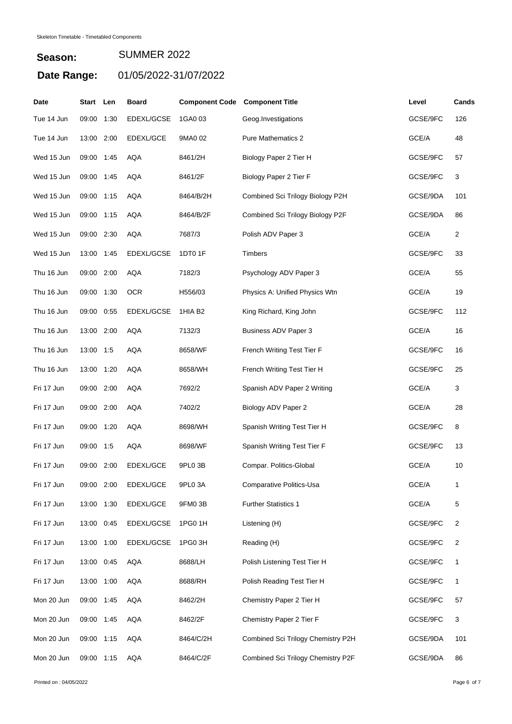| Date       | Start      | Len  | Board      | <b>Component Code Component Title</b> |                                    | Level    | Cands          |
|------------|------------|------|------------|---------------------------------------|------------------------------------|----------|----------------|
| Tue 14 Jun | 09:00      | 1:30 | EDEXL/GCSE | 1GA0 03                               | Geog.Investigations                | GCSE/9FC | 126            |
| Tue 14 Jun | 13:00 2:00 |      | EDEXL/GCE  | 9MA0 02                               | <b>Pure Mathematics 2</b>          | GCE/A    | 48             |
| Wed 15 Jun | 09:00      | 1:45 | <b>AQA</b> | 8461/2H                               | Biology Paper 2 Tier H             | GCSE/9FC | 57             |
| Wed 15 Jun | 09:00      | 1:45 | <b>AQA</b> | 8461/2F                               | Biology Paper 2 Tier F             | GCSE/9FC | 3              |
| Wed 15 Jun | 09:00 1:15 |      | <b>AQA</b> | 8464/B/2H                             | Combined Sci Trilogy Biology P2H   | GCSE/9DA | 101            |
| Wed 15 Jun | 09:00      | 1:15 | <b>AQA</b> | 8464/B/2F                             | Combined Sci Trilogy Biology P2F   | GCSE/9DA | 86             |
| Wed 15 Jun | 09:00 2:30 |      | <b>AQA</b> | 7687/3                                | Polish ADV Paper 3                 | GCE/A    | 2              |
| Wed 15 Jun | 13:00      | 1:45 | EDEXL/GCSE | 1DT0 1F                               | <b>Timbers</b>                     | GCSE/9FC | 33             |
| Thu 16 Jun | 09:00 2:00 |      | <b>AQA</b> | 7182/3                                | Psychology ADV Paper 3             | GCE/A    | 55             |
| Thu 16 Jun | 09:00      | 1:30 | <b>OCR</b> | H556/03                               | Physics A: Unified Physics Wtn     | GCE/A    | 19             |
| Thu 16 Jun | 09:00      | 0:55 | EDEXL/GCSE | 1HIA B <sub>2</sub>                   | King Richard, King John            | GCSE/9FC | 112            |
| Thu 16 Jun | 13:00      | 2:00 | <b>AQA</b> | 7132/3                                | <b>Business ADV Paper 3</b>        | GCE/A    | 16             |
| Thu 16 Jun | 13:00 1:5  |      | <b>AQA</b> | 8658/WF                               | French Writing Test Tier F         | GCSE/9FC | 16             |
| Thu 16 Jun | 13:00      | 1:20 | <b>AQA</b> | 8658/WH                               | French Writing Test Tier H         | GCSE/9FC | 25             |
| Fri 17 Jun | 09:00 2:00 |      | <b>AQA</b> | 7692/2                                | Spanish ADV Paper 2 Writing        | GCE/A    | 3              |
| Fri 17 Jun | 09:00 2:00 |      | <b>AQA</b> | 7402/2                                | Biology ADV Paper 2                | GCE/A    | 28             |
| Fri 17 Jun | 09:00      | 1:20 | <b>AQA</b> | 8698/WH                               | Spanish Writing Test Tier H        | GCSE/9FC | 8              |
| Fri 17 Jun | 09:00      | 1:5  | AQA        | 8698/WF                               | Spanish Writing Test Tier F        | GCSE/9FC | 13             |
| Fri 17 Jun | 09:00      | 2:00 | EDEXL/GCE  | 9PL0 3B                               | Compar. Politics-Global            | GCE/A    | 10             |
| Fri 17 Jun | 09:00 2:00 |      | EDEXL/GCE  | 9PL0 3A                               | Comparative Politics-Usa           | GCE/A    | 1              |
| Fri 17 Jun | 13:00      | 1:30 | EDEXL/GCE  | 9FM03B                                | <b>Further Statistics 1</b>        | GCE/A    | 5              |
| Fri 17 Jun | 13:00      | 0:45 | EDEXL/GCSE | 1PG0 1H                               | Listening (H)                      | GCSE/9FC | $\overline{2}$ |
| Fri 17 Jun | 13:00      | 1:00 | EDEXL/GCSE | 1PG0 3H                               | Reading (H)                        | GCSE/9FC | 2              |
| Fri 17 Jun | 13:00 0:45 |      | <b>AQA</b> | 8688/LH                               | Polish Listening Test Tier H       | GCSE/9FC | 1              |
| Fri 17 Jun | 13:00 1:00 |      | <b>AQA</b> | 8688/RH                               | Polish Reading Test Tier H         | GCSE/9FC | $\mathbf{1}$   |
| Mon 20 Jun | 09:00 1:45 |      | <b>AQA</b> | 8462/2H                               | Chemistry Paper 2 Tier H           | GCSE/9FC | 57             |
| Mon 20 Jun | 09:00 1:45 |      | <b>AQA</b> | 8462/2F                               | Chemistry Paper 2 Tier F           | GCSE/9FC | 3              |
| Mon 20 Jun | 09:00 1:15 |      | <b>AQA</b> | 8464/C/2H                             | Combined Sci Trilogy Chemistry P2H | GCSE/9DA | 101            |
| Mon 20 Jun | 09:00 1:15 |      | AQA        | 8464/C/2F                             | Combined Sci Trilogy Chemistry P2F | GCSE/9DA | 86             |